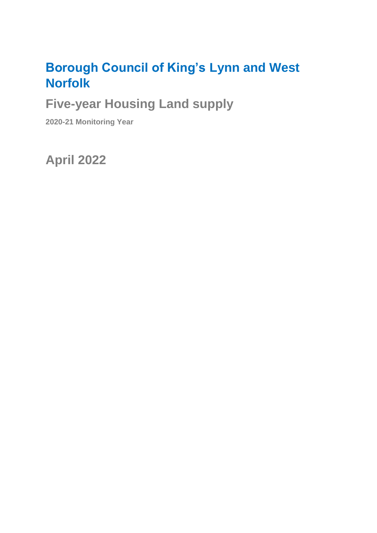# **Borough Council of King's Lynn and West Norfolk**

**Five-year Housing Land supply**

**2020-21 Monitoring Year**

**April 2022**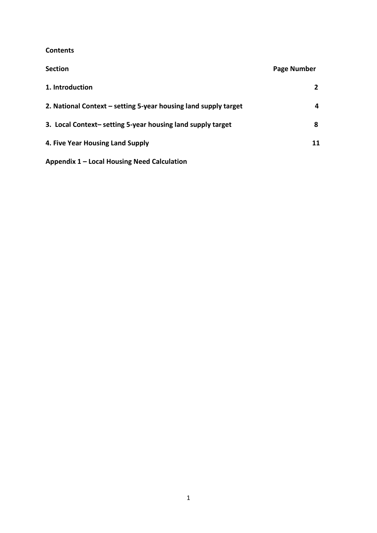#### **Contents**

| <b>Section</b>                                                  | Page Number |
|-----------------------------------------------------------------|-------------|
| 1. Introduction                                                 | 2           |
| 2. National Context – setting 5-year housing land supply target | 4           |
| 3. Local Context-setting 5-year housing land supply target      | 8           |
| 4. Five Year Housing Land Supply                                | 11          |
| Appendix 1 – Local Housing Need Calculation                     |             |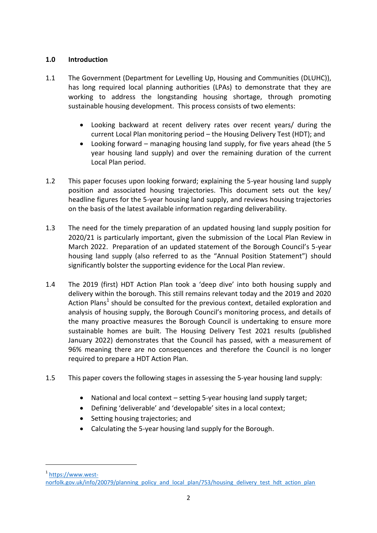#### **1.0 Introduction**

- 1.1 The Government (Department for Levelling Up, Housing and Communities (DLUHC)), has long required local planning authorities (LPAs) to demonstrate that they are working to address the longstanding housing shortage, through promoting sustainable housing development. This process consists of two elements:
	- Looking backward at recent delivery rates over recent years/ during the current Local Plan monitoring period – the Housing Delivery Test (HDT); and
	- Looking forward managing housing land supply, for five years ahead (the 5 year housing land supply) and over the remaining duration of the current Local Plan period.
- 1.2 This paper focuses upon looking forward; explaining the 5-year housing land supply position and associated housing trajectories. This document sets out the key/ headline figures for the 5-year housing land supply, and reviews housing trajectories on the basis of the latest available information regarding deliverability.
- 1.3 The need for the timely preparation of an updated housing land supply position for 2020/21 is particularly important, given the submission of the Local Plan Review in March 2022. Preparation of an updated statement of the Borough Council's 5-year housing land supply (also referred to as the "Annual Position Statement") should significantly bolster the supporting evidence for the Local Plan review.
- 1.4 The 2019 (first) HDT Action Plan took a 'deep dive' into both housing supply and delivery within the borough. This still remains relevant today and the 2019 and 2020 Action Plans<sup>1</sup> should be consulted for the previous context, detailed exploration and analysis of housing supply, the Borough Council's monitoring process, and details of the many proactive measures the Borough Council is undertaking to ensure more sustainable homes are built. The Housing Delivery Test 2021 results (published January 2022) demonstrates that the Council has passed, with a measurement of 96% meaning there are no consequences and therefore the Council is no longer required to prepare a HDT Action Plan.
- 1.5 This paper covers the following stages in assessing the 5-year housing land supply:
	- National and local context setting 5-year housing land supply target;
	- Defining 'deliverable' and 'developable' sites in a local context;
	- Setting housing trajectories; and

**.** 

Calculating the 5-year housing land supply for the Borough.

<sup>&</sup>lt;sup>1</sup> [https://www.west](https://www.west-norfolk.gov.uk/info/20079/planning_policy_and_local_plan/753/housing_delivery_test_hdt_action_plan)[norfolk.gov.uk/info/20079/planning\\_policy\\_and\\_local\\_plan/753/housing\\_delivery\\_test\\_hdt\\_action\\_plan](https://www.west-norfolk.gov.uk/info/20079/planning_policy_and_local_plan/753/housing_delivery_test_hdt_action_plan)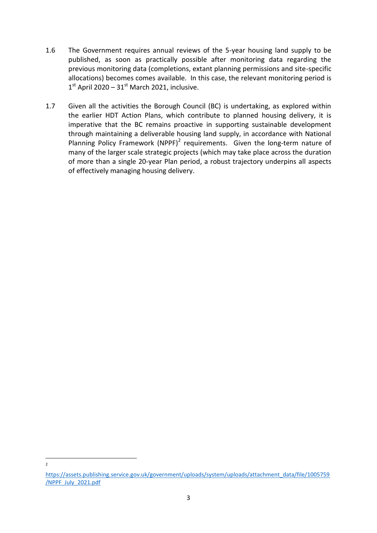- 1.6 The Government requires annual reviews of the 5-year housing land supply to be published, as soon as practically possible after monitoring data regarding the previous monitoring data (completions, extant planning permissions and site-specific allocations) becomes comes available. In this case, the relevant monitoring period is  $1<sup>st</sup>$  April 2020 – 31<sup>st</sup> March 2021, inclusive.
- 1.7 Given all the activities the Borough Council (BC) is undertaking, as explored within the earlier HDT Action Plans, which contribute to planned housing delivery, it is imperative that the BC remains proactive in supporting sustainable development through maintaining a deliverable housing land supply, in accordance with National Planning Policy Framework (NPPF)<sup>2</sup> requirements. Given the long-term nature of many of the larger scale strategic projects (which may take place across the duration of more than a single 20-year Plan period, a robust trajectory underpins all aspects of effectively managing housing delivery.

**.**  $\overline{2}$ 

[https://assets.publishing.service.gov.uk/government/uploads/system/uploads/attachment\\_data/file/1005759](https://assets.publishing.service.gov.uk/government/uploads/system/uploads/attachment_data/file/1005759/NPPF_July_2021.pdf) [/NPPF\\_July\\_2021.pdf](https://assets.publishing.service.gov.uk/government/uploads/system/uploads/attachment_data/file/1005759/NPPF_July_2021.pdf)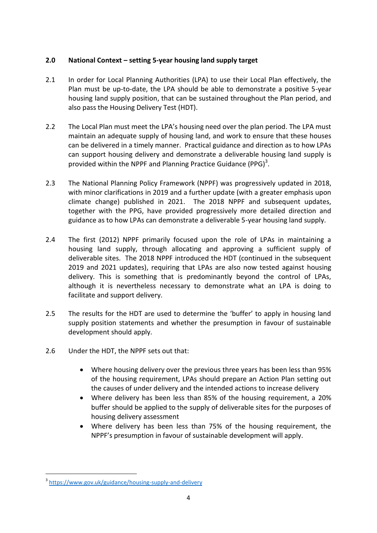## **2.0 National Context – setting 5-year housing land supply target**

- 2.1 In order for Local Planning Authorities (LPA) to use their Local Plan effectively, the Plan must be up-to-date, the LPA should be able to demonstrate a positive 5-year housing land supply position, that can be sustained throughout the Plan period, and also pass the Housing Delivery Test (HDT).
- 2.2 The Local Plan must meet the LPA's housing need over the plan period. The LPA must maintain an adequate supply of housing land, and work to ensure that these houses can be delivered in a timely manner. Practical guidance and direction as to how LPAs can support housing delivery and demonstrate a deliverable housing land supply is provided within the NPPF and Planning Practice Guidance (PPG) $^3$ .
- 2.3 The National Planning Policy Framework (NPPF) was progressively updated in 2018, with minor clarifications in 2019 and a further update (with a greater emphasis upon climate change) published in 2021. The 2018 NPPF and subsequent updates, together with the PPG, have provided progressively more detailed direction and guidance as to how LPAs can demonstrate a deliverable 5-year housing land supply.
- 2.4 The first (2012) NPPF primarily focused upon the role of LPAs in maintaining a housing land supply, through allocating and approving a sufficient supply of deliverable sites. The 2018 NPPF introduced the HDT (continued in the subsequent 2019 and 2021 updates), requiring that LPAs are also now tested against housing delivery. This is something that is predominantly beyond the control of LPAs, although it is nevertheless necessary to demonstrate what an LPA is doing to facilitate and support delivery.
- 2.5 The results for the HDT are used to determine the 'buffer' to apply in housing land supply position statements and whether the presumption in favour of sustainable development should apply.
- 2.6 Under the HDT, the NPPF sets out that:
	- Where housing delivery over the previous three years has been less than 95% of the housing requirement, LPAs should prepare an Action Plan setting out the causes of under delivery and the intended actions to increase delivery
	- Where delivery has been less than 85% of the housing requirement, a 20% buffer should be applied to the supply of deliverable sites for the purposes of housing delivery assessment
	- Where delivery has been less than 75% of the housing requirement, the NPPF's presumption in favour of sustainable development will apply.

<sup>&</sup>lt;sup>3</sup> <https://www.gov.uk/guidance/housing-supply-and-delivery>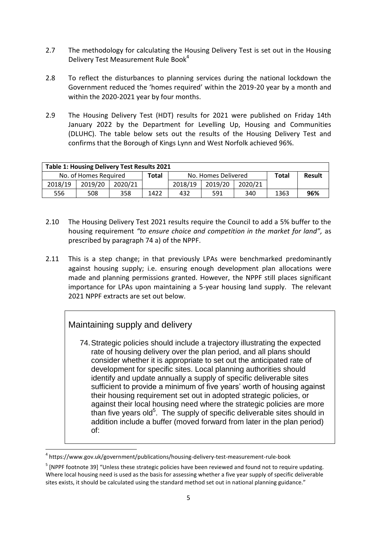- 2.7 The methodology for calculating the Housing Delivery Test is set out in the Housing Delivery Test Measurement Rule Book<sup>4</sup>
- 2.8 To reflect the disturbances to planning services during the national lockdown the Government reduced the 'homes required' within the 2019-20 year by a month and within the 2020-2021 year by four months.
- 2.9 The Housing Delivery Test (HDT) results for 2021 were published on Friday 14th January 2022 by the Department for Levelling Up, Housing and Communities (DLUHC). The table below sets out the results of the Housing Delivery Test and confirms that the Borough of Kings Lynn and West Norfolk achieved 96%.

| <b>Table 1: Housing Delivery Test Results 2021</b> |                       |         |       |                     |         |         |        |     |
|----------------------------------------------------|-----------------------|---------|-------|---------------------|---------|---------|--------|-----|
|                                                    | No. of Homes Required |         | Total | No. Homes Delivered |         | Total   | Result |     |
| 2018/19                                            | 2019/20               | 2020/21 |       | 2018/19             | 2019/20 | 2020/21 |        |     |
| 556                                                | 508                   | 358     | 1422  | 432                 | 591     | 340     | 1363   | 96% |

- 2.10 The Housing Delivery Test 2021 results require the Council to add a 5% buffer to the housing requirement *"to ensure choice and competition in the market for land",* as prescribed by paragraph 74 a) of the NPPF.
- 2.11 This is a step change; in that previously LPAs were benchmarked predominantly against housing supply; i.e. ensuring enough development plan allocations were made and planning permissions granted. However, the NPPF still places significant importance for LPAs upon maintaining a 5-year housing land supply. The relevant 2021 NPPF extracts are set out below.

## Maintaining supply and delivery

**.** 

74.Strategic policies should include a trajectory illustrating the expected rate of housing delivery over the plan period, and all plans should consider whether it is appropriate to set out the anticipated rate of development for specific sites. Local planning authorities should identify and update annually a supply of specific deliverable sites sufficient to provide a minimum of five years' worth of housing against their housing requirement set out in adopted strategic policies, or against their local housing need where the strategic policies are more than five years old<sup>5</sup>. The supply of specific deliverable sites should in addition include a buffer (moved forward from later in the plan period) of:

<sup>4</sup> https://www.gov.uk/government/publications/housing-delivery-test-measurement-rule-book

<sup>&</sup>lt;sup>5</sup> [NPPF footnote 39] "Unless these strategic policies have been reviewed and found not to require updating. Where local housing need is used as the basis for assessing whether a five year supply of specific deliverable sites exists, it should be calculated using the standard method set out in national planning guidance."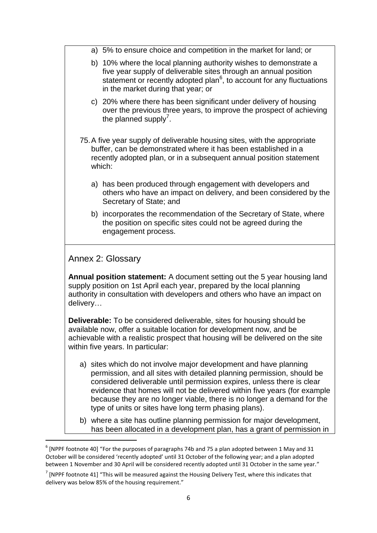|          | a) 5% to ensure choice and competition in the market for land; or                                                                                                                                                                                                                                                                                                                                                                    |
|----------|--------------------------------------------------------------------------------------------------------------------------------------------------------------------------------------------------------------------------------------------------------------------------------------------------------------------------------------------------------------------------------------------------------------------------------------|
|          | b) 10% where the local planning authority wishes to demonstrate a<br>five year supply of deliverable sites through an annual position<br>statement or recently adopted plan <sup>6</sup> , to account for any fluctuations<br>in the market during that year; or                                                                                                                                                                     |
|          | c) 20% where there has been significant under delivery of housing<br>over the previous three years, to improve the prospect of achieving<br>the planned supply'.                                                                                                                                                                                                                                                                     |
| which:   | 75. A five year supply of deliverable housing sites, with the appropriate<br>buffer, can be demonstrated where it has been established in a<br>recently adopted plan, or in a subsequent annual position statement                                                                                                                                                                                                                   |
|          | a) has been produced through engagement with developers and<br>others who have an impact on delivery, and been considered by the<br>Secretary of State; and                                                                                                                                                                                                                                                                          |
|          | b) incorporates the recommendation of the Secretary of State, where<br>the position on specific sites could not be agreed during the<br>engagement process.                                                                                                                                                                                                                                                                          |
|          | Annex 2: Glossary                                                                                                                                                                                                                                                                                                                                                                                                                    |
| delivery | <b>Annual position statement:</b> A document setting out the 5 year housing land<br>supply position on 1st April each year, prepared by the local planning<br>authority in consultation with developers and others who have an impact on                                                                                                                                                                                             |
|          | <b>Deliverable:</b> To be considered deliverable, sites for housing should be<br>available now, offer a suitable location for development now, and be<br>achievable with a realistic prospect that housing will be delivered on the site<br>within five years. In particular:                                                                                                                                                        |
|          | a) sites which do not involve major development and have planning<br>permission, and all sites with detailed planning permission, should be<br>considered deliverable until permission expires, unless there is clear<br>evidence that homes will not be delivered within five years (for example<br>because they are no longer viable, there is no longer a demand for the<br>type of units or sites have long term phasing plans). |
|          | b) where a site has outline planning permission for major development,<br>has been allocated in a development plan, has a grant of permission in                                                                                                                                                                                                                                                                                     |

 $^6$  [NPPF footnote 40] "For the purposes of paragraphs 74b and 75 a plan adopted between 1 May and 31 October will be considered 'recently adopted' until 31 October of the following year; and a plan adopted between 1 November and 30 April will be considered recently adopted until 31 October in the same year."

 $\frac{7}{1}$  [NPPF footnote 41] "This will be measured against the Housing Delivery Test, where this indicates that delivery was below 85% of the housing requirement."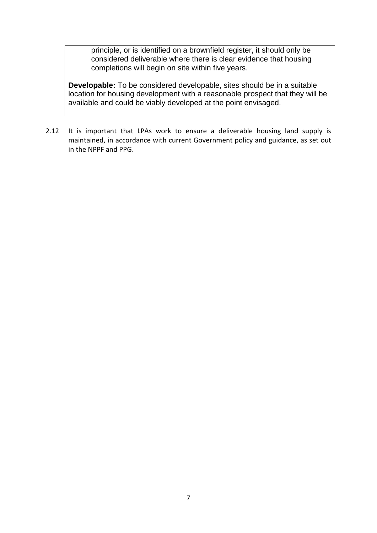principle, or is identified on a brownfield register, it should only be considered deliverable where there is clear evidence that housing completions will begin on site within five years.

**Developable:** To be considered developable, sites should be in a suitable location for housing development with a reasonable prospect that they will be available and could be viably developed at the point envisaged.

2.12 It is important that LPAs work to ensure a deliverable housing land supply is maintained, in accordance with current Government policy and guidance, as set out in the NPPF and PPG.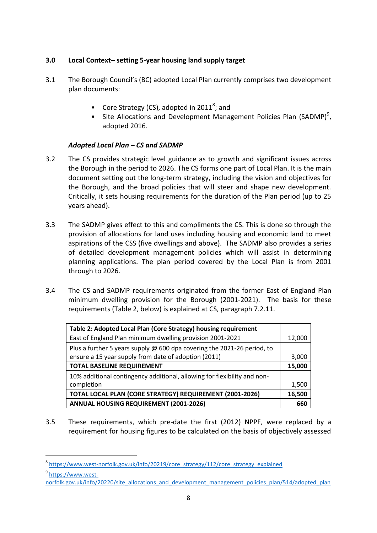## **3.0 Local Context– setting 5-year housing land supply target**

- 3.1 The Borough Council's (BC) adopted Local Plan currently comprises two development plan documents:
	- Core Strategy (CS), adopted in 2011<sup>8</sup>; and
	- Site Allocations and Development Management Policies Plan (SADMP)<sup>9</sup>, adopted 2016.

## *Adopted Local Plan – CS and SADMP*

- 3.2 The CS provides strategic level guidance as to growth and significant issues across the Borough in the period to 2026. The CS forms one part of Local Plan. It is the main document setting out the long-term strategy, including the vision and objectives for the Borough, and the broad policies that will steer and shape new development. Critically, it sets housing requirements for the duration of the Plan period (up to 25 years ahead).
- 3.3 The SADMP gives effect to this and compliments the CS. This is done so through the provision of allocations for land uses including housing and economic land to meet aspirations of the CSS (five dwellings and above). The SADMP also provides a series of detailed development management policies which will assist in determining planning applications. The plan period covered by the Local Plan is from 2001 through to 2026.
- 3.4 The CS and SADMP requirements originated from the former East of England Plan minimum dwelling provision for the Borough (2001-2021). The basis for these requirements (Table 2, below) is explained at CS, paragraph 7.2.11.

| Table 2: Adopted Local Plan (Core Strategy) housing requirement          |        |
|--------------------------------------------------------------------------|--------|
| East of England Plan minimum dwelling provision 2001-2021                | 12,000 |
| Plus a further 5 years supply @ 600 dpa covering the 2021-26 period, to  |        |
| ensure a 15 year supply from date of adoption (2011)                     | 3,000  |
| <b>TOTAL BASELINE REQUIREMENT</b>                                        | 15,000 |
| 10% additional contingency additional, allowing for flexibility and non- |        |
| completion                                                               | 1,500  |
| TOTAL LOCAL PLAN (CORE STRATEGY) REQUIREMENT (2001-2026)                 | 16,500 |
| <b>ANNUAL HOUSING REQUIREMENT (2001-2026)</b>                            | 660    |

3.5 These requirements, which pre-date the first (2012) NPPF, were replaced by a requirement for housing figures to be calculated on the basis of objectively assessed

<sup>9</sup> [https://www.west-](https://www.west-norfolk.gov.uk/info/20220/site_allocations_and_development_management_policies_plan/514/adopted_plan)

<sup>&</sup>lt;sup>8</sup> [https://www.west-norfolk.gov.uk/info/20219/core\\_strategy/112/core\\_strategy\\_explained](https://www.west-norfolk.gov.uk/info/20219/core_strategy/112/core_strategy_explained)

[norfolk.gov.uk/info/20220/site\\_allocations\\_and\\_development\\_management\\_policies\\_plan/514/adopted\\_plan](https://www.west-norfolk.gov.uk/info/20220/site_allocations_and_development_management_policies_plan/514/adopted_plan)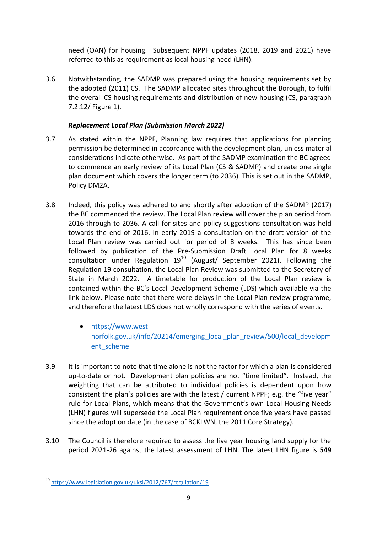need (OAN) for housing. Subsequent NPPF updates (2018, 2019 and 2021) have referred to this as requirement as local housing need (LHN).

3.6 Notwithstanding, the SADMP was prepared using the housing requirements set by the adopted (2011) CS. The SADMP allocated sites throughout the Borough, to fulfil the overall CS housing requirements and distribution of new housing (CS, paragraph 7.2.12/ Figure 1).

## *Replacement Local Plan (Submission March 2022)*

- 3.7 As stated within the NPPF, Planning law requires that applications for planning permission be determined in accordance with the development plan, unless material considerations indicate otherwise. As part of the SADMP examination the BC agreed to commence an early review of its Local Plan (CS & SADMP) and create one single plan document which covers the longer term (to 2036). This is set out in the SADMP, Policy DM2A.
- 3.8 Indeed, this policy was adhered to and shortly after adoption of the SADMP (2017) the BC commenced the review. The Local Plan review will cover the plan period from 2016 through to 2036. A call for sites and policy suggestions consultation was held towards the end of 2016. In early 2019 a consultation on the draft version of the Local Plan review was carried out for period of 8 weeks. This has since been followed by publication of the Pre-Submission Draft Local Plan for 8 weeks consultation under Regulation  $19^{10}$  (August/ September 2021). Following the Regulation 19 consultation, the Local Plan Review was submitted to the Secretary of State in March 2022. A timetable for production of the Local Plan review is contained within the BC's Local Development Scheme (LDS) which available via the link below. Please note that there were delays in the Local Plan review programme, and therefore the latest LDS does not wholly correspond with the series of events.
	- [https://www.west](https://www.west-norfolk.gov.uk/info/20214/emerging_local_plan_review/500/local_development_scheme)[norfolk.gov.uk/info/20214/emerging\\_local\\_plan\\_review/500/local\\_developm](https://www.west-norfolk.gov.uk/info/20214/emerging_local_plan_review/500/local_development_scheme) [ent\\_scheme](https://www.west-norfolk.gov.uk/info/20214/emerging_local_plan_review/500/local_development_scheme)
- 3.9 It is important to note that time alone is not the factor for which a plan is considered up-to-date or not. Development plan policies are not "time limited". Instead, the weighting that can be attributed to individual policies is dependent upon how consistent the plan's policies are with the latest / current NPPF; e.g. the "five year" rule for Local Plans, which means that the Government's own Local Housing Needs (LHN) figures will supersede the Local Plan requirement once five years have passed since the adoption date (in the case of BCKLWN, the 2011 Core Strategy).
- 3.10 The Council is therefore required to assess the five year housing land supply for the period 2021-26 against the latest assessment of LHN. The latest LHN figure is **549**

<sup>10</sup> <https://www.legislation.gov.uk/uksi/2012/767/regulation/19>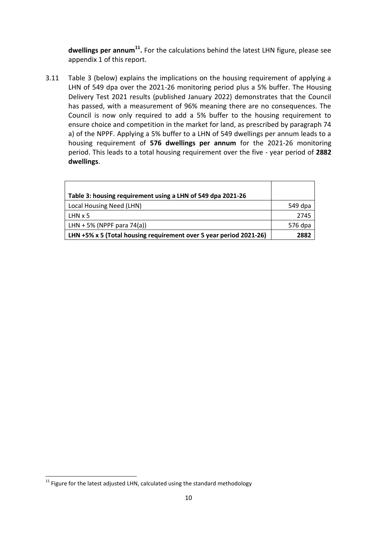dwellings per annum<sup>11</sup>. For the calculations behind the latest LHN figure, please see appendix 1 of this report.

3.11 Table 3 (below) explains the implications on the housing requirement of applying a LHN of 549 dpa over the 2021-26 monitoring period plus a 5% buffer. The Housing Delivery Test 2021 results (published January 2022) demonstrates that the Council has passed, with a measurement of 96% meaning there are no consequences. The Council is now only required to add a 5% buffer to the housing requirement to ensure choice and competition in the market for land, as prescribed by paragraph 74 a) of the NPPF. Applying a 5% buffer to a LHN of 549 dwellings per annum leads to a housing requirement of **576 dwellings per annum** for the 2021-26 monitoring period. This leads to a total housing requirement over the five - year period of **2882 dwellings**.

| Table 3: housing requirement using a LHN of 549 dpa 2021-26        |         |
|--------------------------------------------------------------------|---------|
| Local Housing Need (LHN)                                           | 549 dpa |
| $LHN \times 5$                                                     | 2745    |
| LHN + 5% (NPPF para 74(a))                                         | 576 dpa |
| LHN +5% x 5 (Total housing requirement over 5 year period 2021-26) | 2882    |

**<sup>.</sup>**  $^{11}$  Figure for the latest adjusted LHN, calculated using the standard methodology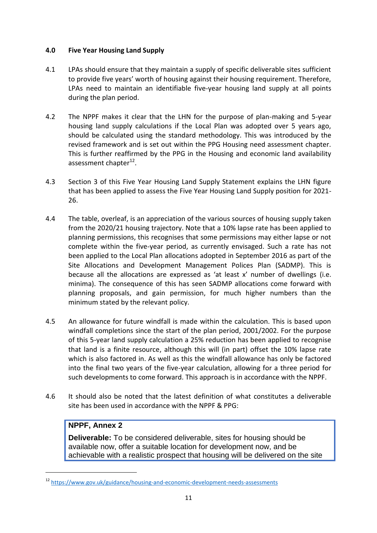#### **4.0 Five Year Housing Land Supply**

- 4.1 LPAs should ensure that they maintain a supply of specific deliverable sites sufficient to provide five years' worth of housing against their housing requirement. Therefore, LPAs need to maintain an identifiable five-year housing land supply at all points during the plan period.
- 4.2 The NPPF makes it clear that the LHN for the purpose of plan-making and 5-year housing land supply calculations if the Local Plan was adopted over 5 years ago, should be calculated using the standard methodology. This was introduced by the revised framework and is set out within the PPG Housing need assessment chapter. This is further reaffirmed by the PPG in the Housing and economic land availability assessment chapter<sup>12</sup>.
- 4.3 Section 3 of this Five Year Housing Land Supply Statement explains the LHN figure that has been applied to assess the Five Year Housing Land Supply position for 2021- 26.
- 4.4 The table, overleaf, is an appreciation of the various sources of housing supply taken from the 2020/21 housing trajectory. Note that a 10% lapse rate has been applied to planning permissions, this recognises that some permissions may either lapse or not complete within the five-year period, as currently envisaged. Such a rate has not been applied to the Local Plan allocations adopted in September 2016 as part of the Site Allocations and Development Management Polices Plan (SADMP). This is because all the allocations are expressed as 'at least x' number of dwellings (i.e. minima). The consequence of this has seen SADMP allocations come forward with planning proposals, and gain permission, for much higher numbers than the minimum stated by the relevant policy.
- 4.5 An allowance for future windfall is made within the calculation. This is based upon windfall completions since the start of the plan period, 2001/2002. For the purpose of this 5-year land supply calculation a 25% reduction has been applied to recognise that land is a finite resource, although this will (in part) offset the 10% lapse rate which is also factored in. As well as this the windfall allowance has only be factored into the final two years of the five-year calculation, allowing for a three period for such developments to come forward. This approach is in accordance with the NPPF.
- 4.6 It should also be noted that the latest definition of what constitutes a deliverable site has been used in accordance with the NPPF & PPG:

## **NPPF, Annex 2**

**.** 

**Deliverable:** To be considered deliverable, sites for housing should be available now, offer a suitable location for development now, and be achievable with a realistic prospect that housing will be delivered on the site

<sup>12</sup> <https://www.gov.uk/guidance/housing-and-economic-development-needs-assessments>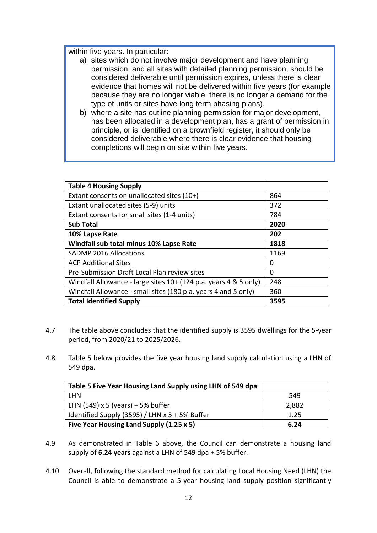within five years. In particular:

- a) sites which do not involve major development and have planning permission, and all sites with detailed planning permission, should be considered deliverable until permission expires, unless there is clear evidence that homes will not be delivered within five years (for example because they are no longer viable, there is no longer a demand for the type of units or sites have long term phasing plans).
- b) where a site has outline planning permission for major development, has been allocated in a development plan, has a grant of permission in principle, or is identified on a brownfield register, it should only be considered deliverable where there is clear evidence that housing completions will begin on site within five years.

| <b>Table 4 Housing Supply</b>                                    |          |
|------------------------------------------------------------------|----------|
| Extant consents on unallocated sites (10+)                       | 864      |
| Extant unallocated sites (5-9) units                             | 372      |
| Extant consents for small sites (1-4 units)                      | 784      |
| <b>Sub Total</b>                                                 | 2020     |
| 10% Lapse Rate                                                   | 202      |
| Windfall sub total minus 10% Lapse Rate                          | 1818     |
| <b>SADMP 2016 Allocations</b>                                    | 1169     |
| <b>ACP Additional Sites</b>                                      | 0        |
| Pre-Submission Draft Local Plan review sites                     | $\Omega$ |
| Windfall Allowance - large sites 10+ (124 p.a. years 4 & 5 only) | 248      |
| Windfall Allowance - small sites (180 p.a. years 4 and 5 only)   | 360      |
| <b>Total Identified Supply</b>                                   | 3595     |

- 4.7 The table above concludes that the identified supply is 3595 dwellings for the 5-year period, from 2020/21 to 2025/2026.
- 4.8 Table 5 below provides the five year housing land supply calculation using a LHN of 549 dpa.

| Table 5 Five Year Housing Land Supply using LHN of 549 dpa |       |
|------------------------------------------------------------|-------|
| <b>IHN</b>                                                 | 549   |
| LHN $(549)$ x 5 (years) + 5% buffer                        | 2,882 |
| Identified Supply (3595) / LHN x 5 + 5% Buffer             | 1.25  |
| Five Year Housing Land Supply (1.25 x 5)                   | 6.24  |

- 4.9 As demonstrated in Table 6 above, the Council can demonstrate a housing land supply of **6.24 years** against a LHN of 549 dpa + 5% buffer.
- 4.10 Overall, following the standard method for calculating Local Housing Need (LHN) the Council is able to demonstrate a 5-year housing land supply position significantly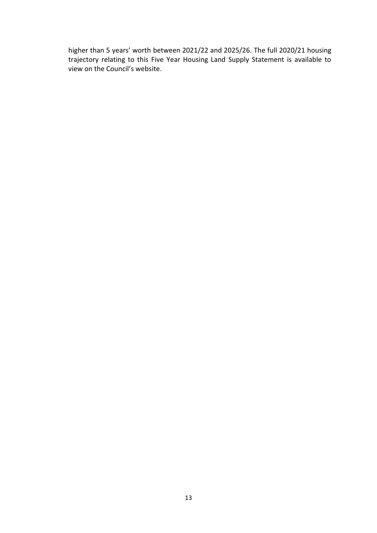higher than 5 years' worth between 2021/22 and 2025/26. The full 2020/21 housing trajectory relating to this Five Year Housing Land Supply Statement is available to view on the Council's website.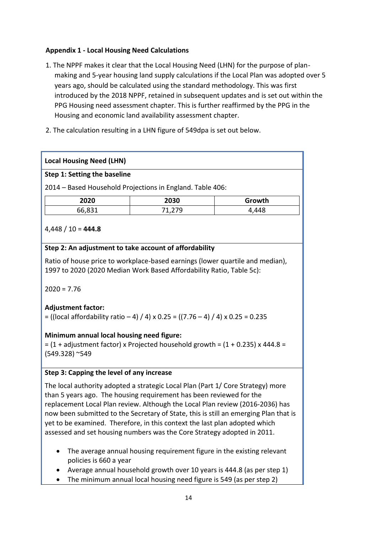## **Appendix 1 - Local Housing Need Calculations**

- 1. The NPPF makes it clear that the Local Housing Need (LHN) for the purpose of planmaking and 5-year housing land supply calculations if the Local Plan was adopted over 5 years ago, should be calculated using the standard methodology. This was first introduced by the 2018 NPPF, retained in subsequent updates and is set out within the PPG Housing need assessment chapter. This is further reaffirmed by the PPG in the Housing and economic land availability assessment chapter.
- 2. The calculation resulting in a LHN figure of 549dpa is set out below.

#### **Local Housing Need (LHN)**

#### **Step 1: Setting the baseline**

2014 – Based Household Projections in England. Table 406:

| 2020   | 2030 | Growth |
|--------|------|--------|
| 66,831 | 170  | 4,448  |

## 4,448 / 10 = **444.8**

#### **Step 2: An adjustment to take account of affordability**

Ratio of house price to workplace-based earnings (lower quartile and median), 1997 to 2020 (2020 Median Work Based Affordability Ratio, Table 5c):

 $2020 = 7.76$ 

## **Adjustment factor:**

 $=$  ((local affordability ratio – 4) / 4) x 0.25 = ((7.76 – 4) / 4) x 0.25 = 0.235

#### **Minimum annual local housing need figure:**

 $=$  (1 + adjustment factor) x Projected household growth =  $(1 + 0.235)$  x 444.8 = (549.328) ~549

#### **Step 3: Capping the level of any increase**

The local authority adopted a strategic Local Plan (Part 1/ Core Strategy) more than 5 years ago. The housing requirement has been reviewed for the replacement Local Plan review. Although the Local Plan review (2016-2036) has now been submitted to the Secretary of State, this is still an emerging Plan that is yet to be examined. Therefore, in this context the last plan adopted which assessed and set housing numbers was the Core Strategy adopted in 2011.

- The average annual housing requirement figure in the existing relevant policies is 660 a year
- Average annual household growth over 10 years is 444.8 (as per step 1)
- The minimum annual local housing need figure is 549 (as per step 2)